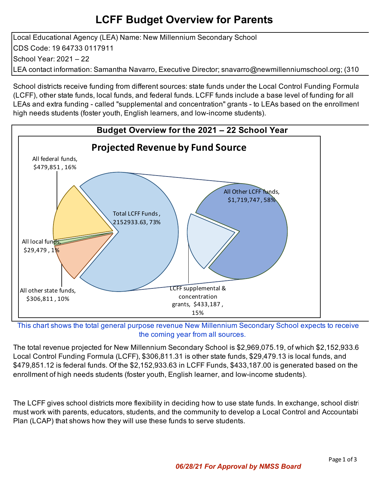## **LCFF Budget Overview for Parents**

Local Educational Agency (LEA) Name: New Millennium Secondary School CDS Code: 19 64733 0117911 School Year: 2021 – 22 LEA contact information: Samantha Navarro, Executive Director; snavarro@newmillenniumschool.org; (310

School districts receive funding from different sources: state funds under the Local Control Funding Formula (LCFF), other state funds, local funds, and federal funds. LCFF funds include a base level of funding for all LEAs and extra funding - called "supplemental and concentration" grants - to LEAs based on the enrollment high needs students (foster youth, English learners, and low-income students).



This chart shows the total general purpose revenue New Millennium Secondary School expects to receive the coming year from all sources.

The total revenue projected for New Millennium Secondary School is \$2,969,075.19, of which \$2,152,933.6 Local Control Funding Formula (LCFF), \$306,811.31 is other state funds, \$29,479.13 is local funds, and \$479,851.12 is federal funds. Of the \$2,152,933.63 in LCFF Funds, \$433,187.00 is generated based on the enrollment of high needs students (foster youth, English learner, and low-income students).

The LCFF gives school districts more flexibility in deciding how to use state funds. In exchange, school distri must work with parents, educators, students, and the community to develop a Local Control and Accountabi Plan (LCAP) that shows how they will use these funds to serve students.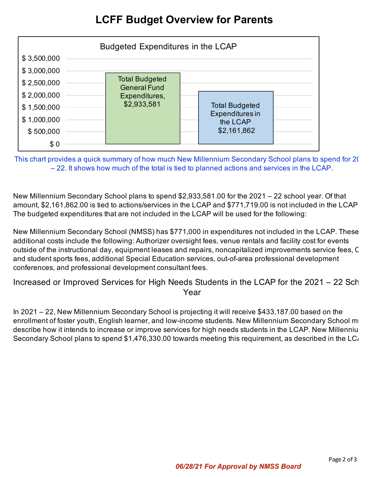## **LCFF Budget Overview for Parents**



This chart provides a quick summary of how much New Millennium Secondary School plans to spend for 20 – 22. It shows how much of the total is tied to planned actions and services in the LCAP.

New Millennium Secondary School plans to spend \$2,933,581.00 for the 2021 – 22 school year. Of that amount, \$2,161,862.00 is tied to actions/services in the LCAP and \$771,719.00 is not included in the LCAP. The budgeted expenditures that are not included in the LCAP will be used for the following:

New Millennium Secondary School (NMSS) has \$771,000 in expenditures not included in the LCAP. These additional costs include the following: Authorizer oversight fees, venue rentals and facility cost for events outside of the instructional day, equipment leases and repairs, noncapitalized improvements service fees, C and student sports fees, additional Special Education services, out-of-area professional development conferences, and professional development consultant fees.

Increased or Improved Services for High Needs Students in the LCAP for the 2021 – 22 Sch Year

In 2021 – 22, New Millennium Secondary School is projecting it will receive \$433,187.00 based on the enrollment of foster youth, English learner, and low-income students. New Millennium Secondary School must describe how it intends to increase or improve services for high needs students in the LCAP. New Millenniu Secondary School plans to spend  $$1,476,330.00$  towards meeting this requirement, as described in the LC<sub>i</sub>